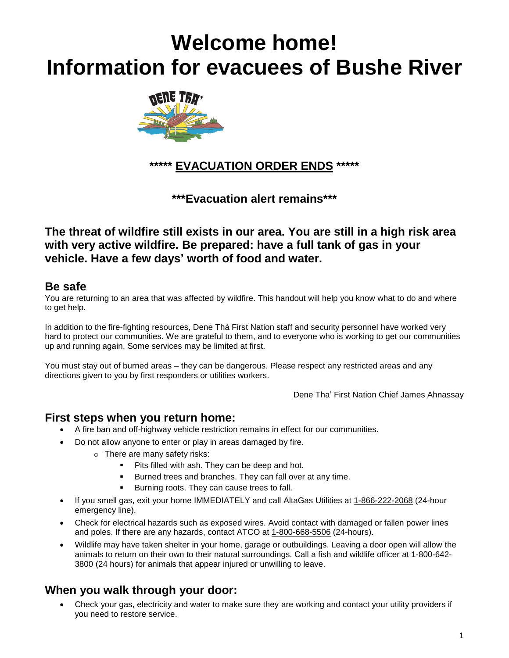# **Welcome home! Information for evacuees of Bushe River**



**\*\*\*\*\* EVACUATION ORDER ENDS \*\*\*\*\***

**\*\*\*Evacuation alert remains\*\*\***

**The threat of wildfire still exists in our area. You are still in a high risk area with very active wildfire. Be prepared: have a full tank of gas in your vehicle. Have a few days' worth of food and water.**

#### **Be safe**

You are returning to an area that was affected by wildfire. This handout will help you know what to do and where to get help.

In addition to the fire-fighting resources, Dene Thá First Nation staff and security personnel have worked very hard to protect our communities. We are grateful to them, and to everyone who is working to get our communities up and running again. Some services may be limited at first.

You must stay out of burned areas – they can be dangerous. Please respect any restricted areas and any directions given to you by first responders or utilities workers.

Dene Tha' First Nation Chief James Ahnassay

#### **First steps when you return home:**

- A fire ban and off-highway vehicle restriction remains in effect for our communities.
- Do not allow anyone to enter or play in areas damaged by fire.
	- o There are many safety risks:
		- Pits filled with ash. They can be deep and hot.
		- Burned trees and branches. They can fall over at any time.
		- Burning roots. They can cause trees to fall.
- If you smell gas, exit your home IMMEDIATELY and call AltaGas Utilities at 1-866-222-2068 (24-hour emergency line).
- Check for electrical hazards such as exposed wires. Avoid contact with damaged or fallen power lines and poles. If there are any hazards, contact ATCO at 1-800-668-5506 (24-hours).
- Wildlife may have taken shelter in your home, garage or outbuildings. Leaving a door open will allow the animals to return on their own to their natural surroundings. Call a fish and wildlife officer at 1-800-642- 3800 (24 hours) for animals that appear injured or unwilling to leave.

## **When you walk through your door:**

• Check your gas, electricity and water to make sure they are working and contact your utility providers if you need to restore service.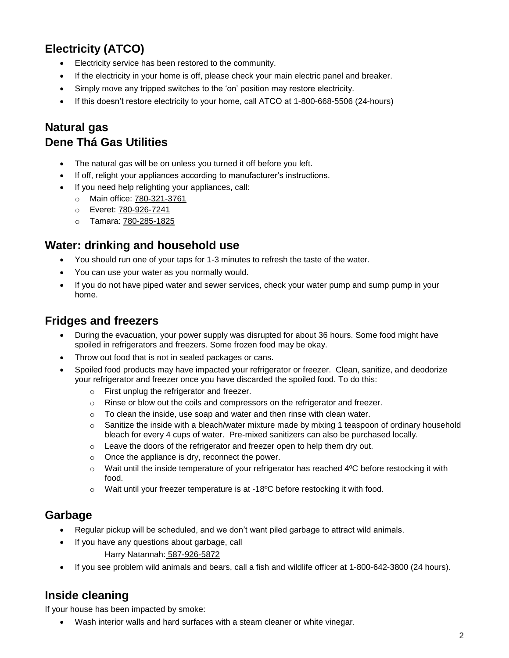## **Electricity (ATCO)**

- Electricity service has been restored to the community.
- If the electricity in your home is off, please check your main electric panel and breaker.
- Simply move any tripped switches to the 'on' position may restore electricity.
- If this doesn't restore electricity to your home, call ATCO at 1-800-668-5506 (24-hours)

## **Natural gas Dene Thá Gas Utilities**

- The natural gas will be on unless you turned it off before you left.
- If off, relight your appliances according to manufacturer's instructions.
- If you need help relighting your appliances, call:
	- o Main office: 780-321-3761
	- o Everet: 780-926-7241
	- o Tamara: 780-285-1825

#### **Water: drinking and household use**

- You should run one of your taps for 1-3 minutes to refresh the taste of the water.
- You can use your water as you normally would.
- If you do not have piped water and sewer services, check your water pump and sump pump in your home.

#### **Fridges and freezers**

- During the evacuation, your power supply was disrupted for about 36 hours. Some food might have spoiled in refrigerators and freezers. Some frozen food may be okay.
- Throw out food that is not in sealed packages or cans.
- Spoiled food products may have impacted your refrigerator or freezer. Clean, sanitize, and deodorize your refrigerator and freezer once you have discarded the spoiled food. To do this:
	- o First unplug the refrigerator and freezer.
	- $\circ$  Rinse or blow out the coils and compressors on the refrigerator and freezer.
	- o To clean the inside, use soap and water and then rinse with clean water.
	- $\circ$  Sanitize the inside with a bleach/water mixture made by mixing 1 teaspoon of ordinary household bleach for every 4 cups of water. Pre-mixed sanitizers can also be purchased locally.
	- o Leave the doors of the refrigerator and freezer open to help them dry out.
	- o Once the appliance is dry, reconnect the power.
	- $\circ$  Wait until the inside temperature of your refrigerator has reached 4 $\degree$ C before restocking it with food.
	- o Wait until your freezer temperature is at -18ºC before restocking it with food.

#### **Garbage**

- Regular pickup will be scheduled, and we don't want piled garbage to attract wild animals.
- If you have any questions about garbage, call
	- Harry Natannah: 587-926-5872
- If you see problem wild animals and bears, call a fish and wildlife officer at 1-800-642-3800 (24 hours).

## **Inside cleaning**

If your house has been impacted by smoke:

• Wash interior walls and hard surfaces with a steam cleaner or white vinegar.